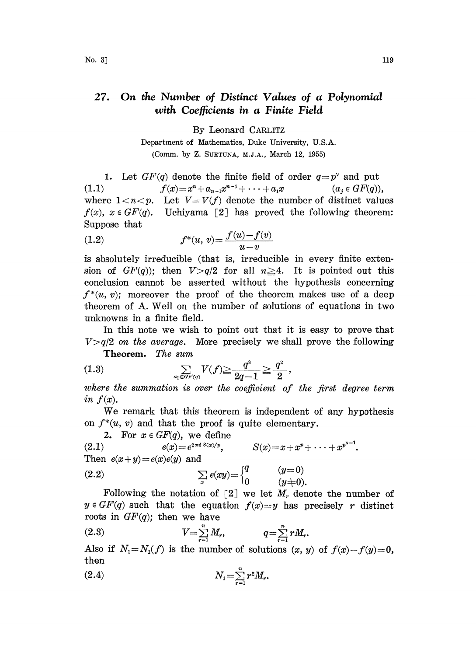## 27. On the Number of Distinct Values of a Polynomial with Coefficients in a Finite Field

By Leonard CARLITZ

Department of Mathematics, Duke University, U.S.A. (Comm. by Z. SUETUNA, M.J.A., March 12, 1955)

1. Let  $GF(q)$  denote the finite field of order  $q=p^{\nu}$  and put (1.1)  $f(x)=x^n+a_{n-1}x^{n-1}+\cdots+a_1x$ 1. Let  $G_F(q)$  denote the finite field of order  $q=p$  and put<br>
(1.1)  $f(x)=x^n+a_{n-1}x^{n-1}+\cdots+a_1x$   $(a_j \in GF(q)),$ <br>
where  $1 < n < p$ . Let  $V= V(f)$  denote the number of distinct values where  $1 < n < p$ . Let  $V = V(f)$  denote the number of distinct values  $f(x)$ ,  $x \in GF(q)$ . Uchiyama [2] has proved the following theorem: Suppose that

(1.2) 
$$
f^*(u, v) = \frac{f(u) - f(v)}{u - v}
$$

is absolutely irreducible (that is, irreducible in every finite extension of  $GF(q)$ ; then  $V>q/2$  for all  $n\geq 4$ . It is pointed out this conclusion cannot be asserted without the hypothesis concerning  $f^*(u, v)$ ; moreover the proof of the theorem makes use of a deep heorem of A. Well on the number of solutions of equations in two unknowns in a finite field.

In this note we wish to point out that it is easy to prove that  $V>q/2$  on the average. More precisely we shall prove the following

Theorem. The sum

(1.3) 
$$
\sum_{a_1 \in GF(q)} V(f) \ge \frac{q^3}{2q-1} \ge \frac{q^2}{2},
$$

where the summation is over the coefficient of the first degree term in  $f(x)$ .

We remark that this theorem is independent of any hypothesis on  $f^*(u, v)$  and that the proof is quite elementary.

2. For  $x \in GF(q)$ , we define

(2.1)  $e(x)=e^{2\pi i S(x)/p}, \qquad S(x)=x+x^p+\cdots+x^{p^{v-1}}.$ Then  $e(x+y)=e(x)e(y)$  and (2.2)  $\sum e(xy) = \begin{cases} q & (y=0) \\ 0 & (y=0) \end{cases}$ 

 $0 \hspace{10mm} (y\textcolor{red}{\neq}0).$ Following the notation of  $\lceil 2 \rceil$  we let  $M_r$  denote the number of  $y \in GF(q)$  such that the equation  $f(x)=y$  has precisely r distinct roots in  $GF(q)$ ; then we have

(2.3) 
$$
V = \sum_{r=1}^{n} M_r, \qquad q = \sum_{r=1}^{n} r M_r.
$$

Also if  $N_1=N_1(f)$  is the number of solutions  $(x, y)$  of  $f(x)-f(y)=0$ , then

(2.4) 
$$
N_1 = \sum_{r=1}^n r^2 M_r.
$$